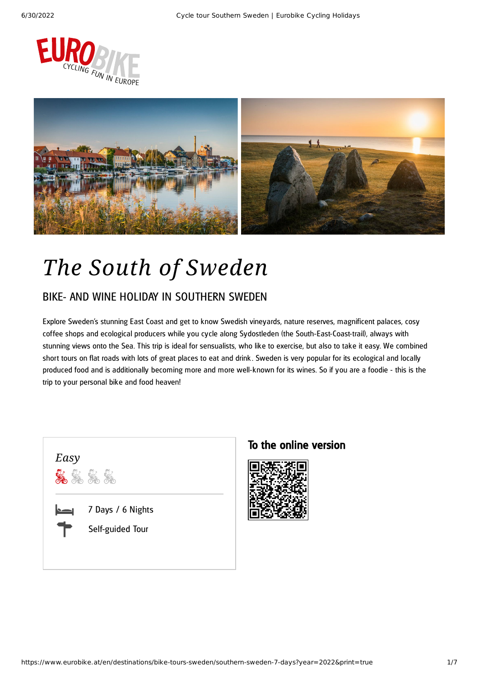



# *The South of Sweden*

### BIKE- AND WINE HOLIDAY IN SOUTHERN SWEDEN

Explore Sweden's stunning East Coast and get to know Swedish vineyards, nature reserves, magnificent palaces, cosy coffee shops and ecological producers while you cycle along Sydostleden (the South-East-Coast-trail), always with stunning views onto the Sea. This trip is ideal for sensualists, who like to exercise, but also to take it easy. We combined short tours on flat roads with lots of great places to eat and drink . Sweden is very popular for its ecological and locally produced food and is additionally becoming more and more well-known for its wines. So if you are a foodie - this is the trip to your personal bike and food heaven!



#### To the online version

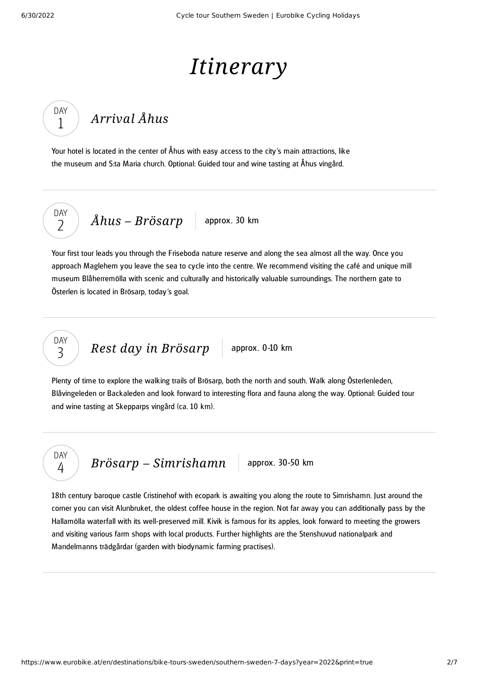# *Itinerary*

#### *[Arrival](#page-1-0) Åhus* DAY 1

<span id="page-1-0"></span>Your hotel is located in the center of Åhus with easy access to the city's main attractions, like the museum and S:ta Maria church. Optional: Guided tour and wine tasting at Åhus vingård.

DAY  $\overline{\phantom{0}}$ 

> DAY 3

 $\hat{A}hus - Br\ddot{o}sarp$  approx. 30 km

<span id="page-1-1"></span>Your first tour leads you through the Friseboda nature reserve and along the sea almost all the way. Once you approach Maglehem you leave the sea to cycle into the centre. We recommend visiting the café and unique mill museum Blåherremölla with scenic and culturally and historically valuable surroundings. The northern gate to Österlen is located in Brösarp, today's goal.

*Rest day in [Brösarp](#page-1-2)* approx. 0-10 km

<span id="page-1-2"></span>Plenty of time to explore the walking trails of Brösarp, both the north and south. Walk along Österlenleden, Blåvingeleden or Backaleden and look forward to interesting flora and fauna along the way. Optional: Guided tour and wine tasting at Skepparps vingård (ca. 10 km).

DAY 4

*Brösarp* – *[Simrishamn](#page-1-3)* approx. 30-50 km

<span id="page-1-3"></span>18th century baroque castle Cristinehof with ecopark is awaiting you along the route to Simrishamn. Just around the corner you can visit Alunbruket, the oldest coffee house in the region. Not far away you can additionally pass by the Hallamölla waterfall with its well-preserved mill. Kivik is famous for its apples, look forward to meeting the growers and visiting various farm shops with local products. Further highlights are the Stenshuvud nationalpark and Mandelmanns trädgårdar (garden with biodynamic farming practises).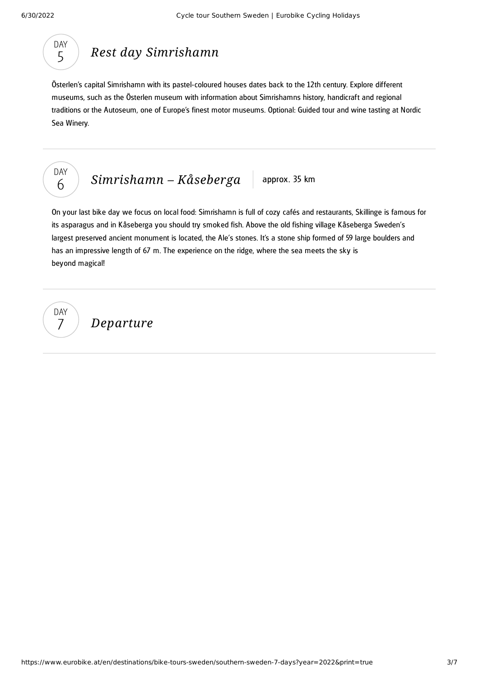### DAY 5

### *Rest day [Simrishamn](#page-2-0)*

<span id="page-2-0"></span>Österlen's capital Simrishamn with its pastel-coloured houses dates back to the 12th century. Explore different museums, such as the Österlen museum with information about Simrishamns history, handicraft and regional traditions or the Autoseum, one of Europe's finest motor museums. Optional: Guided tour and wine tasting at Nordic Sea Winery.



### *[Simrishamn](#page-2-1)* – *Kåseberga* approx. 35 km

<span id="page-2-1"></span>On your last bike day we focus on local food: Simrishamn is full of cozy cafés and restaurants, Skillinge is famous for its asparagus and in Kåseberga you should try smoked fish. Above the old fishing village Kåseberga Sweden's largest preserved ancient monument is located, the Ale's stones. It's a stone ship formed of 59 large boulders and has an impressive length of 67 m. The experience on the ridge, where the sea meets the sky is beyond magical!

DAY 7

*Departure*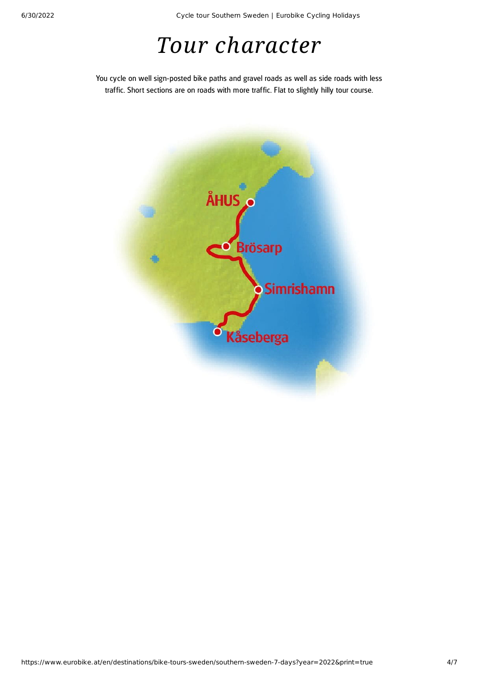6/30/2022 Cycle tour Southern Sweden | Eurobike Cycling Holidays

## *Tour character*

You cycle on well sign-posted bike paths and gravel roads as well as side roads with less traffic. Short sections are on roads with more traffic. Flat to slightly hilly tour course.

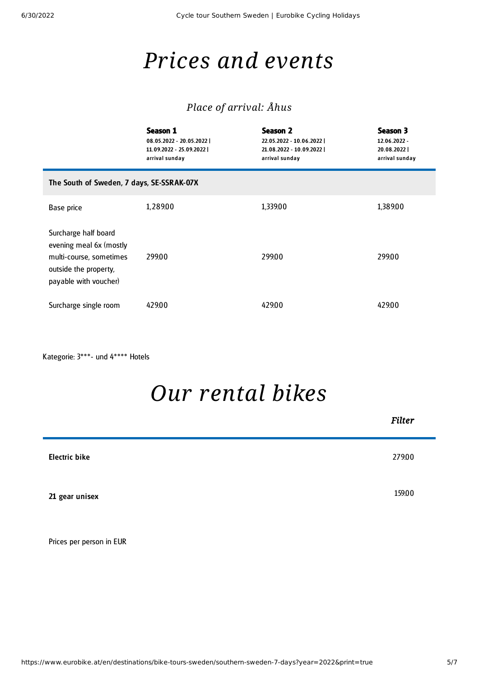## *Prices and events*

### *Place of arrival: Åhus*

|                                                                                                                              | Season 1<br>08.05.2022 - 20.05.2022  <br>11.09.2022 - 25.09.2022  <br>arrival sunday | Season 2<br>22.05.2022 - 10.06.2022  <br>21.08.2022 - 10.09.2022  <br>arrival sunday | Season 3<br>12.06.2022 -<br>20.08.2022<br>arrival sunday |  |
|------------------------------------------------------------------------------------------------------------------------------|--------------------------------------------------------------------------------------|--------------------------------------------------------------------------------------|----------------------------------------------------------|--|
| The South of Sweden, 7 days, SE-SSRAK-07X                                                                                    |                                                                                      |                                                                                      |                                                          |  |
| Base price                                                                                                                   | 1,289.00                                                                             | 1,339.00                                                                             | 1,389.00                                                 |  |
| Surcharge half board<br>evening meal 6x (mostly<br>multi-course, sometimes<br>outside the property,<br>payable with voucher) | 299.00                                                                               | 299.00                                                                               | 299.00                                                   |  |
| Surcharge single room                                                                                                        | 429.00                                                                               | 429.00                                                                               | 429.00                                                   |  |

Kategorie: 3\*\*\*- und 4\*\*\*\* Hotels

## *Our [rental](#page-4-0) bikes*

<span id="page-4-0"></span>

|                      | Filter |
|----------------------|--------|
| <b>Electric bike</b> | 279.00 |
| 21 gear unisex       | 159.00 |
|                      |        |

Prices per person in EUR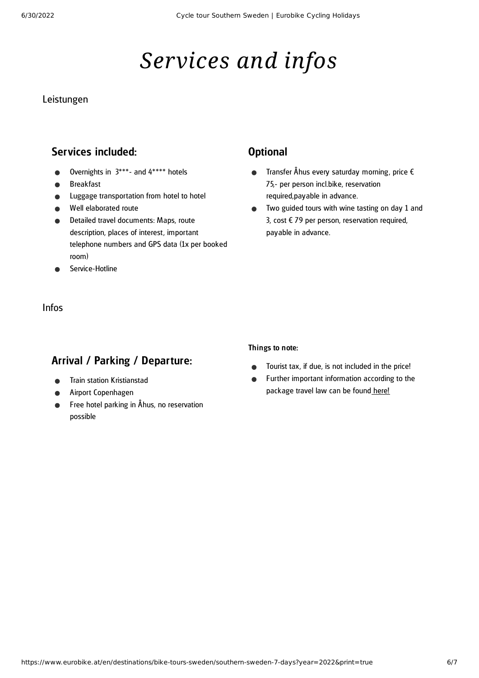# *Services and infos*

#### Leistungen

#### Services included:

- Overnights in 3\*\*\*- and 4\*\*\*\* hotels
- Breakfast
- Luggage transportation from hotel to hotel
- Well elaborated route
- Detailed travel documents: Maps, route description, places of interest, important telephone numbers and GPS data (1x per booked room)
- Service-Hotline

### Infos

### Arrival / Parking / Departure:

- Train station Kristianstad
- Airport Copenhagen
- Free hotel parking in Åhus, no reservation possible

#### **Optional**

- Transfer Åhus every saturday morning, price  $\epsilon$  $\bullet$ 75,- per person incl.bike, reservation required,payable in advance.
- Two guided tours with wine tasting on day 1 and  $\bullet$ 3, cost € 79 per person, reservation required, payable in advance.

#### Things to note:

- Tourist tax, if due, is not included in the price!  $\bullet$
- Further important information according to the  $\bullet$ package travel law can be found [here](https://www.eurobike.at/en/travel-information/before-the-tour/pci)!